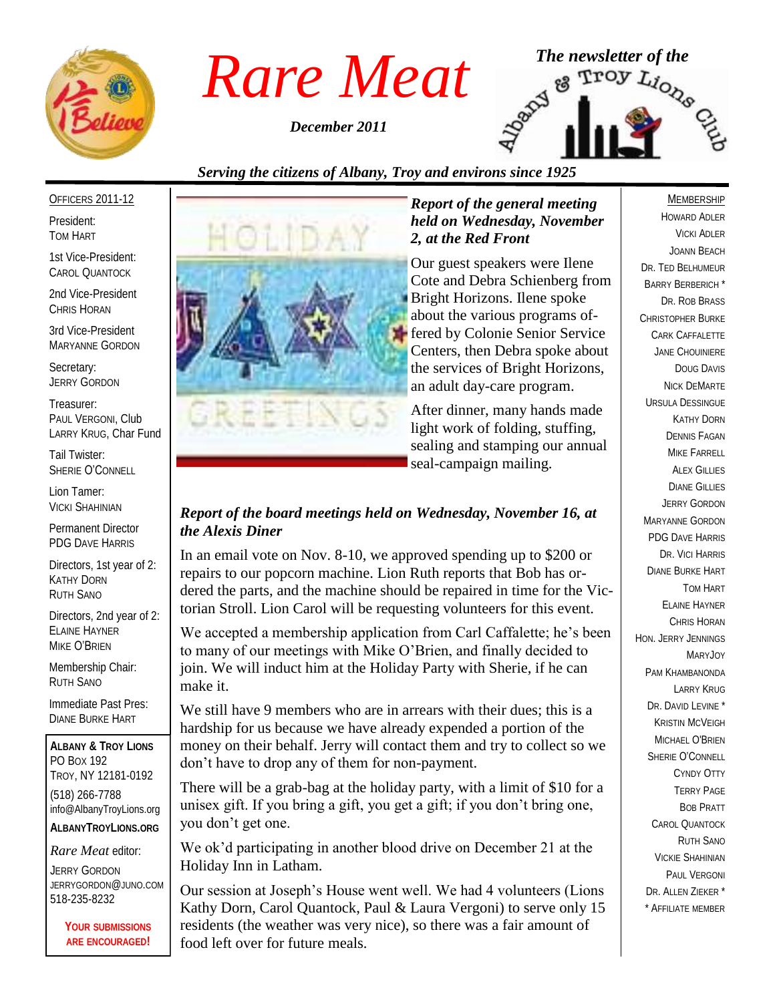

*December 2011*



# *Serving the citizens of Albany, Troy and environs since 1925*

#### OFFICERS 2011-12

President: TOM HART

1st Vice-President: CAROL QUANTOCK

2nd Vice-President CHRIS HORAN

3rd Vice-President MARYANNE GORDON

Secretary: JERRY GORDON

Treasurer: PAUL VERGONI, Club LARRY KRUG, Char Fund

Tail Twister: SHERIE O'CONNELL

Lion Tamer: VICKI SHAHINIAN

Permanent Director PDG DAVE HARRIS

Directors, 1st year of 2: KATHY DORN RUTH SANO

Directors, 2nd year of 2: ELAINE HAYNER MIKE O'BRIEN

Membership Chair: RUTH SANO

Immediate Past Pres: DIANE BURKE HART

**ALBANY & TROY LIONS** PO BOX 192 TROY, NY 12181-0192 (518) 266-7788 info@AlbanyTroyLions.org **ALBANYTROYLIONS.ORG**

#### *Rare Meat* editor:

JERRY GORDON JERRYGORDON@JUNO.COM 518-235-8232

> **YOUR SUBMISSIONS ARE ENCOURAGED!**



#### *Report of the general meeting held on Wednesday, November 2, at the Red Front*

Our guest speakers were Ilene Cote and Debra Schienberg from Bright Horizons. Ilene spoke about the various programs offered by Colonie Senior Service Centers, then Debra spoke about the services of Bright Horizons, an adult day-care program.

After dinner, many hands made light work of folding, stuffing, sealing and stamping our annual seal-campaign mailing.

#### *Report of the board meetings held on Wednesday, November 16, at the Alexis Diner*

In an email vote on Nov. 8-10, we approved spending up to \$200 or repairs to our popcorn machine. Lion Ruth reports that Bob has ordered the parts, and the machine should be repaired in time for the Victorian Stroll. Lion Carol will be requesting volunteers for this event.

We accepted a membership application from Carl Caffalette; he's been to many of our meetings with Mike O'Brien, and finally decided to join. We will induct him at the Holiday Party with Sherie, if he can make it.

We still have 9 members who are in arrears with their dues; this is a hardship for us because we have already expended a portion of the money on their behalf. Jerry will contact them and try to collect so we don't have to drop any of them for non-payment.

There will be a grab-bag at the holiday party, with a limit of \$10 for a unisex gift. If you bring a gift, you get a gift; if you don't bring one, you don't get one.

We ok'd participating in another blood drive on December 21 at the Holiday Inn in Latham.

Our session at Joseph's House went well. We had 4 volunteers (Lions Kathy Dorn, Carol Quantock, Paul & Laura Vergoni) to serve only 15 residents (the weather was very nice), so there was a fair amount of food left over for future meals.

#### MEMBERSHIP

HOWARD ADLER VICKI ADLER JOANN BEACH DR. TED BELHUMEUR BARRY BERBERICH \* DR. ROB BRASS CHRISTOPHER BURKE CARK CAFFALETTE JANE CHOUINIERE DOUG DAVIS NICK DEMARTE URSULA DESSINGUE KATHY DORN DENNIS FAGAN MIKE FARRELL **ALEX GILLIES** DIANE GILLIES JERRY GORDON MARYANNE GORDON PDG DAVE HARRIS DR. VICI HARRIS DIANE BURKE HART TOM HART ELAINE HAYNER CHRIS HORAN HON. JERRY JENNINGS MARYJOY PAM KHAMBANONDA LARRY KRUG DR. DAVID LEVINE<sup>\*</sup> KRISTIN MCVEIGH MICHAEL O'BRIEN SHERIE O'CONNELL CYNDY OTTY TERRY PAGE BOB PRATT CAROL QUANTOCK RUTH SANO VICKIE SHAHINIAN PAUL VERGONI DR. ALLEN ZIEKER \* \* AFFILIATE MEMBER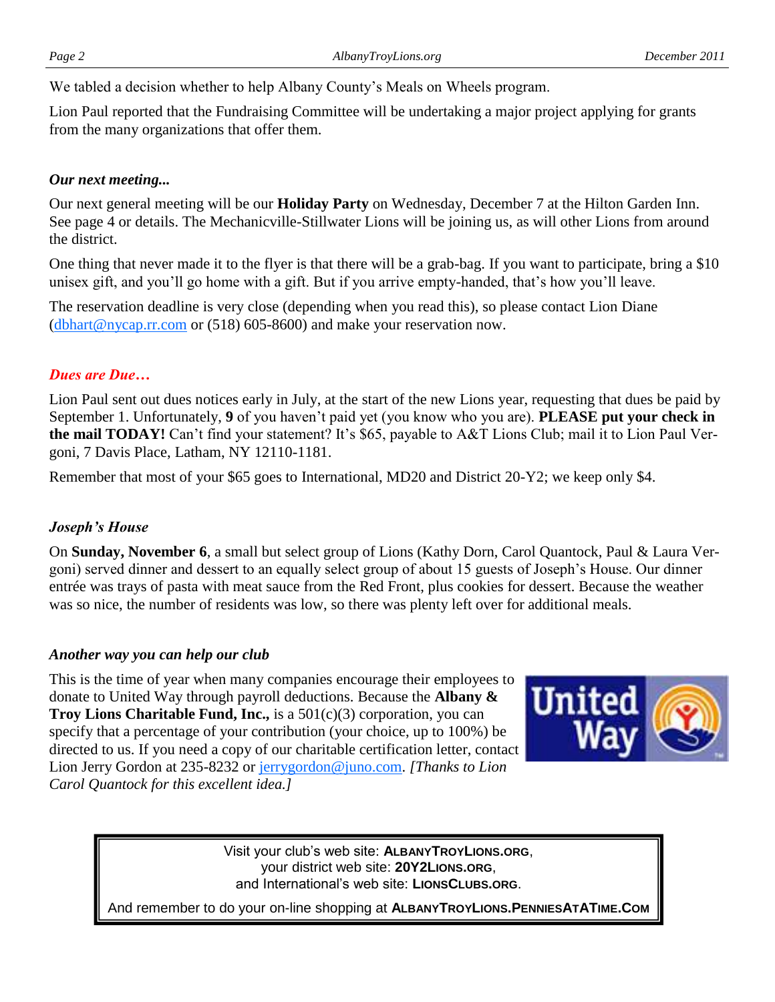We tabled a decision whether to help Albany County's Meals on Wheels program.

Lion Paul reported that the Fundraising Committee will be undertaking a major project applying for grants from the many organizations that offer them.

## *Our next meeting...*

Our next general meeting will be our **Holiday Party** on Wednesday, December 7 at the Hilton Garden Inn. See page 4 or details. The Mechanicville-Stillwater Lions will be joining us, as will other Lions from around the district.

One thing that never made it to the flyer is that there will be a grab-bag. If you want to participate, bring a \$10 unisex gift, and you'll go home with a gift. But if you arrive empty-handed, that's how you'll leave.

The reservation deadline is very close (depending when you read this), so please contact Lion Diane  $(d)$ bhart@nycap.rr.com or (518) 605-8600) and make your reservation now.

# *Dues are Due…*

Lion Paul sent out dues notices early in July, at the start of the new Lions year, requesting that dues be paid by September 1. Unfortunately, **9** of you haven't paid yet (you know who you are). **PLEASE put your check in the mail TODAY!** Can't find your statement? It's \$65, payable to A&T Lions Club; mail it to Lion Paul Vergoni, 7 Davis Place, Latham, NY 12110-1181.

Remember that most of your \$65 goes to International, MD20 and District 20-Y2; we keep only \$4.

## *Joseph's House*

On **Sunday, November 6**, a small but select group of Lions (Kathy Dorn, Carol Quantock, Paul & Laura Vergoni) served dinner and dessert to an equally select group of about 15 guests of Joseph's House. Our dinner entrée was trays of pasta with meat sauce from the Red Front, plus cookies for dessert. Because the weather was so nice, the number of residents was low, so there was plenty left over for additional meals.

## *Another way you can help our club*

This is the time of year when many companies encourage their employees to donate to United Way through payroll deductions. Because the **Albany & Troy Lions Charitable Fund, Inc.,** is a 501(c)(3) corporation, you can specify that a percentage of your contribution (your choice, up to 100%) be directed to us. If you need a copy of our charitable certification letter, contact Lion Jerry Gordon at 235-8232 or [jerrygordon@juno.com.](mailto:jerrygordon@juno.com) *[Thanks to Lion Carol Quantock for this excellent idea.]*



Visit your club's web site: **ALBANYTROYLIONS.ORG**, your district web site: **20Y2LIONS.ORG**, and International's web site: **LIONSCLUBS.ORG**.

And remember to do your on-line shopping at **ALBANYTROYLIONS.PENNIESATATIME.COM**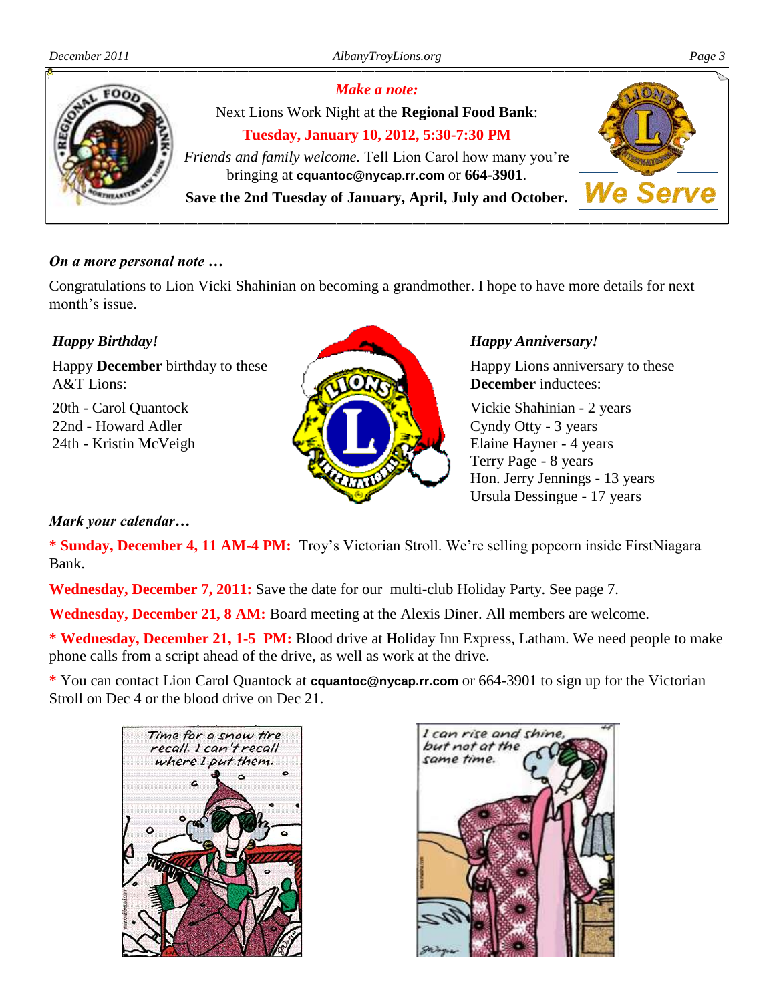

#### *On a more personal note …*

Congratulations to Lion Vicki Shahinian on becoming a grandmother. I hope to have more details for next month's issue.

## *Happy Birthday!*

Happy **December** birthday to these A&T Lions:

20th - Carol Quantock 22nd - Howard Adler 24th - Kristin McVeigh

#### *Happy Anniversary!*

Happy Lions anniversary to these **December** inductees:

Vickie Shahinian - 2 years Cyndy Otty - 3 years Elaine Hayner - 4 years Terry Page - 8 years Hon. Jerry Jennings - 13 years Ursula Dessingue - 17 years

#### *Mark your calendar…*

**\* Sunday, December 4, 11 AM-4 PM:** Troy's Victorian Stroll. We're selling popcorn inside FirstNiagara Bank.

**Wednesday, December 7, 2011:** Save the date for our multi-club Holiday Party. See page 7.

**Wednesday, December 21, 8 AM:** Board meeting at the Alexis Diner. All members are welcome.

**\* Wednesday, December 21, 1-5 PM:** Blood drive at Holiday Inn Express, Latham. We need people to make phone calls from a script ahead of the drive, as well as work at the drive.

**\*** You can contact Lion Carol Quantock at **cquantoc@nycap.rr.com** or 664-3901 to sign up for the Victorian Stroll on Dec 4 or the blood drive on Dec 21.